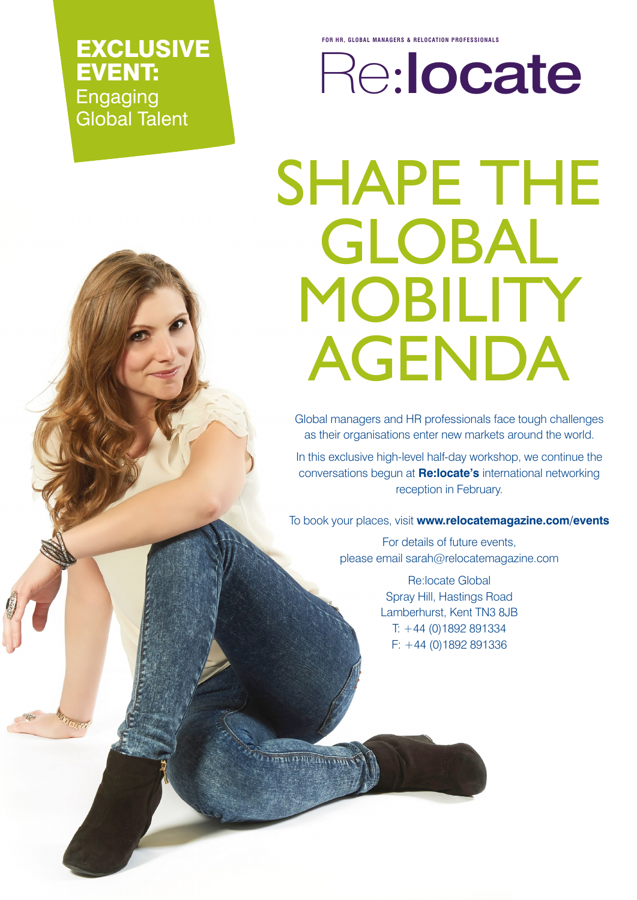EXCLUSIVE EVENT: Engaging Global Talent

**FOR HR, GLOBAL MANAGERS & RELOCATION PROFESSIONALS**

Re:locate

# SHAPE THE GLOBAL MOBILITY AGENDA

Global managers and HR professionals face tough challenges as their organisations enter new markets around the world.

In this exclusive high-level half-day workshop, we continue the conversations begun at **Re:locate's** international networking reception in February.

To book your places, visit **www.relocatemagazine.com/events**

For details of future events, please email sarah@relocatemagazine.com

> Re:locate Global Spray Hill, Hastings Road Lamberhurst, Kent TN3 8JB T: +44 (0)1892 891334 F: +44 (0)1892 891336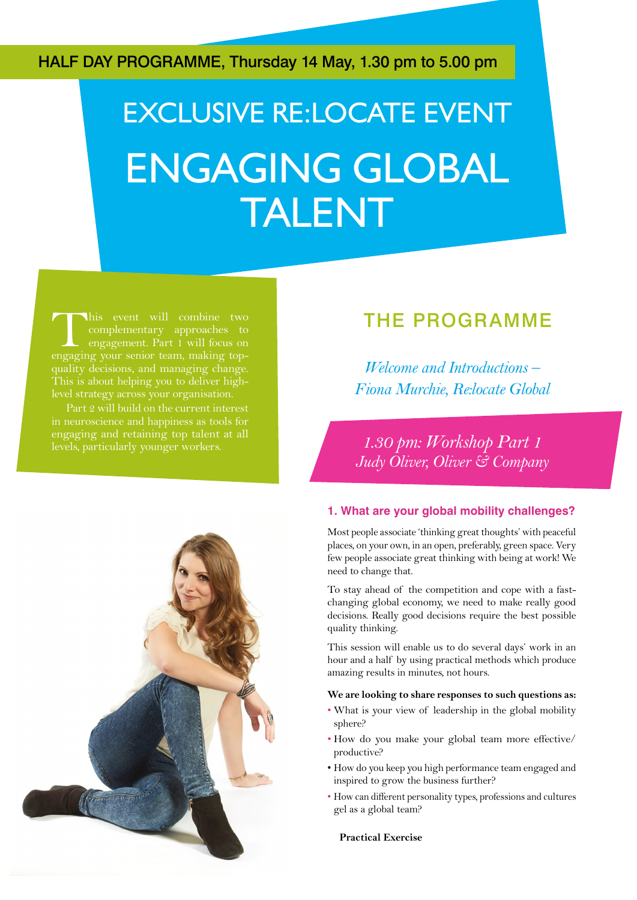HALF DAY PROGRAMME, Thursday 14 May, 1.30 pm to 5.00 pm

## EXCLUSIVE RE:LOCATE EVENT ENGAGING GLOBAL TALENT

This event will combine two<br>complementary approaches to<br>engagement. Part 1 will focus on<br>engaging your senior team, making topcomplementary approaches to engagement. Part 1 will focus on engaging your senior team, making topquality decisions, and managing change. This is about helping you to deliver highlevel strategy across your organisation.

in neuroscience and happiness as tools for engaging and retaining top talent at all levels, particularly younger workers.

### THE PROGRAMME

*Welcome and Introductions – Fiona Murchie, Re:locate Global*

*1.30 pm: Workshop Part 1 Judy Oliver, Oliver & Company*

#### **1. What are your global mobility challenges?**

Most people associate 'thinking great thoughts' with peaceful places, on your own, in an open, preferably, green space. Very few people associate great thinking with being at work! We need to change that.

To stay ahead of the competition and cope with a fastchanging global economy, we need to make really good decisions. Really good decisions require the best possible quality thinking.

This session will enable us to do several days' work in an hour and a half by using practical methods which produce amazing results in minutes, not hours.

#### **We are looking to share responses to such questions as:**

- What is your view of leadership in the global mobility sphere?
- How do you make your global team more effective/ productive?
- How do you keep you high performance team engaged and inspired to grow the business further?
- How can different personality types, professions and cultures gel as a global team?

**Practical Exercise**

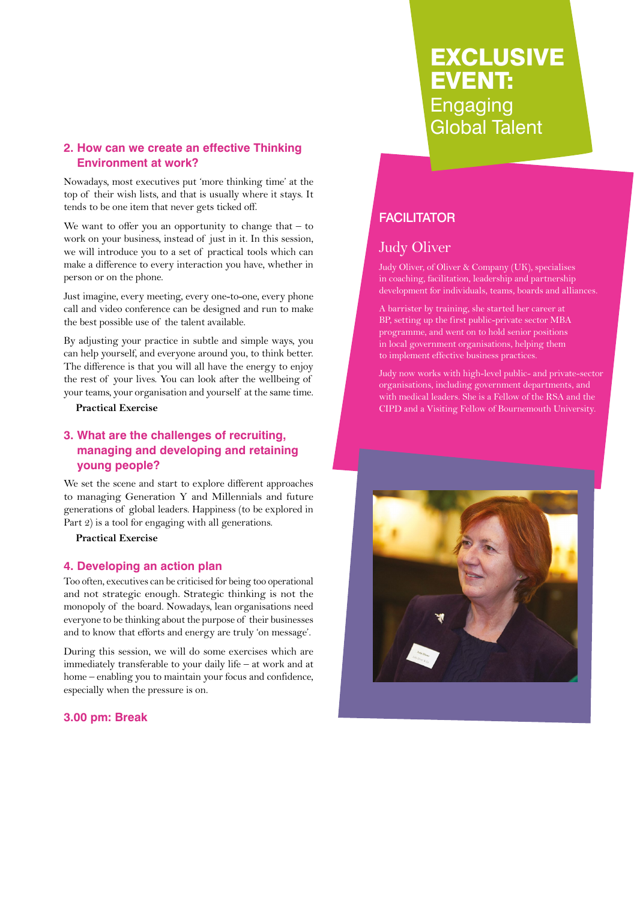#### **2. How can we create an effective Thinking Environment at work?**

Nowadays, most executives put 'more thinking time' at the top of their wish lists, and that is usually where it stays. It tends to be one item that never gets ticked off.

We want to offer you an opportunity to change that  $-$  to work on your business, instead of just in it. In this session, we will introduce you to a set of practical tools which can make a difference to every interaction you have, whether in person or on the phone.

Just imagine, every meeting, every one-to-one, every phone call and video conference can be designed and run to make the best possible use of the talent available.

By adjusting your practice in subtle and simple ways, you can help yourself, and everyone around you, to think better. The difference is that you will all have the energy to enjoy the rest of your lives. You can look after the wellbeing of your teams, your organisation and yourself at the same time.

#### **Practical Exercise**

#### **3. What are the challenges of recruiting, managing and developing and retaining young people?**

We set the scene and start to explore different approaches to managing Generation Y and Millennials and future generations of global leaders. Happiness (to be explored in Part 2) is a tool for engaging with all generations.

**Practical Exercise**

#### **4. Developing an action plan**

Too often, executives can be criticised for being too operational and not strategic enough. Strategic thinking is not the monopoly of the board. Nowadays, lean organisations need everyone to be thinking about the purpose of their businesses and to know that efforts and energy are truly 'on message'.

During this session, we will do some exercises which are immediately transferable to your daily life – at work and at home – enabling you to maintain your focus and confidence, especially when the pressure is on.

#### **3.00 pm: Break**

## EXCLUSIVE EVENT: **Engaging** Global Talent

#### **FACILITATOR**

#### Judy Oliver

Judy Oliver, of Oliver & Company (UK), specialises in coaching, facilitation, leadership and partnership development for individuals, teams, boards and alliances.

A barrister by training, she started her career at BP, setting up the first public-private sector MBA programme, and went on to hold senior positions in local government organisations, helping them to implement effective business practices.

Judy now works with high-level public- and private-sector organisations, including government departments, and with medical leaders. She is a Fellow of the RSA and the CIPD and a Visiting Fellow of Bournemouth University.